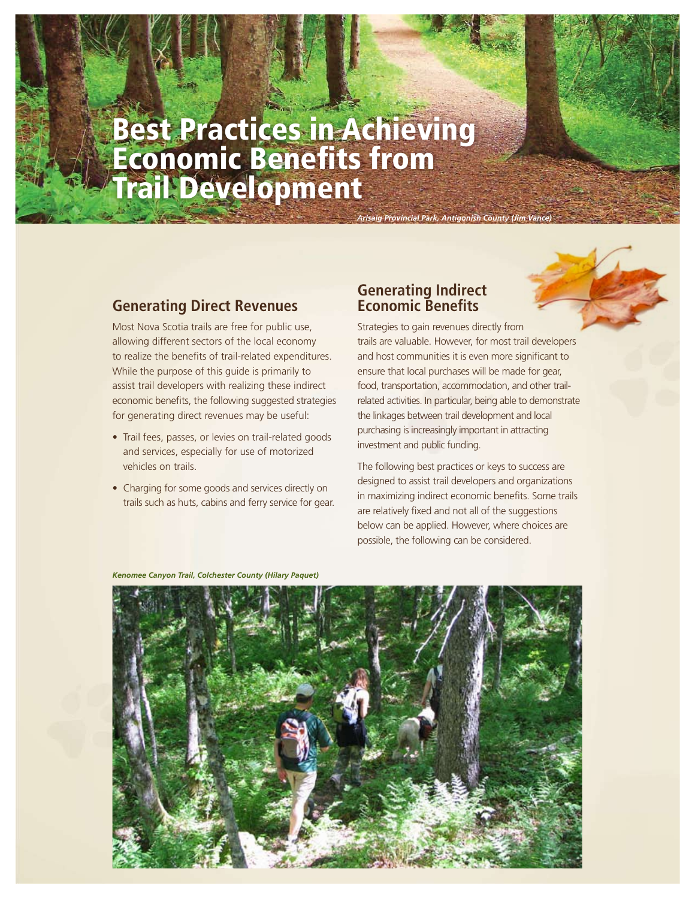# Best Practices in Achieving Economic Benefits from Trail Development

#### **Generating Direct Revenues**

Most Nova Scotia trails are free for public use, allowing different sectors of the local economy to realize the benefits of trail-related expenditures. While the purpose of this guide is primarily to assist trail developers with realizing these indirect economic benefits, the following suggested strategies for generating direct revenues may be useful:

- Trail fees, passes, or levies on trail-related goods and services, especially for use of motorized vehicles on trails.
- Charging for some goods and services directly on trails such as huts, cabins and ferry service for gear.

#### **Generating Indirect Economic Benefits**

**Arisaig Provincial Park, Antigonish County (Jim** 

Strategies to gain revenues directly from trails are valuable. However, for most trail developers and host communities it is even more significant to ensure that local purchases will be made for gear, food, transportation, accommodation, and other trailrelated activities. In particular, being able to demonstrate the linkages between trail development and local purchasing is increasingly important in attracting investment and public funding.

The following best practices or keys to success are designed to assist trail developers and organizations in maximizing indirect economic benefits. Some trails are relatively fixed and not all of the suggestions below can be applied. However, where choices are possible, the following can be considered.

*Kenomee Canyon Trail, Colchester County (Hilary Paquet)*

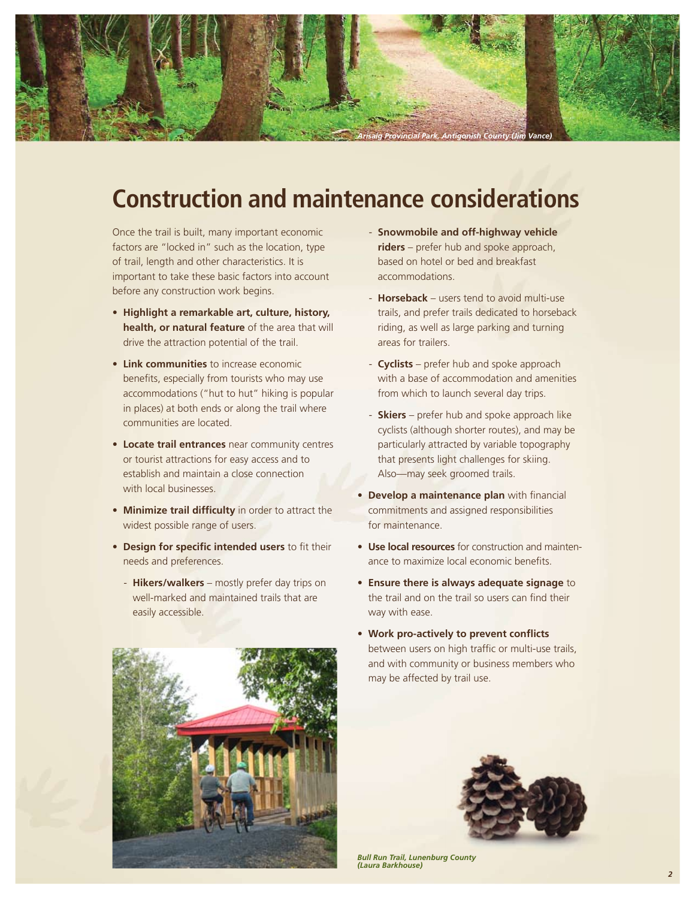

## **Construction and maintenance considerations**

Once the trail is built, many important economic factors are "locked in" such as the location, type of trail, length and other characteristics. It is important to take these basic factors into account before any construction work begins.

- **Highlight a remarkable art, culture, history, health, or natural feature** of the area that will drive the attraction potential of the trail.
- **Link communities** to increase economic benefits, especially from tourists who may use accommodations ("hut to hut" hiking is popular in places) at both ends or along the trail where communities are located.
- **Locate trail entrances** near community centres or tourist attractions for easy access and to establish and maintain a close connection with local businesses.
- **Minimize trail difficulty** in order to attract the widest possible range of users.
- **Design for specific intended users** to fit their needs and preferences.
	- **Hikers/walkers** mostly prefer day trips on well-marked and maintained trails that are easily accessible.



- **Snowmobile and off-highway vehicle riders** – prefer hub and spoke approach, based on hotel or bed and breakfast accommodations.
- **Horseback** users tend to avoid multi-use trails, and prefer trails dedicated to horseback riding, as well as large parking and turning areas for trailers.
- **Cyclists** prefer hub and spoke approach with a base of accommodation and amenities from which to launch several day trips.
- **Skiers** prefer hub and spoke approach like cyclists (although shorter routes), and may be particularly attracted by variable topography that presents light challenges for skiing. Also—may seek groomed trails.
- **Develop a maintenance plan** with financial commitments and assigned responsibilities for maintenance.
- **Use local resources** for construction and maintenance to maximize local economic benefits.
- **Ensure there is always adequate signage** to the trail and on the trail so users can find their way with ease.
- **Work pro-actively to prevent conflicts** between users on high traffic or multi-use trails, and with community or business members who may be affected by trail use.



*Bull Run Trail, Lunenburg County (Laura Barkhouse)*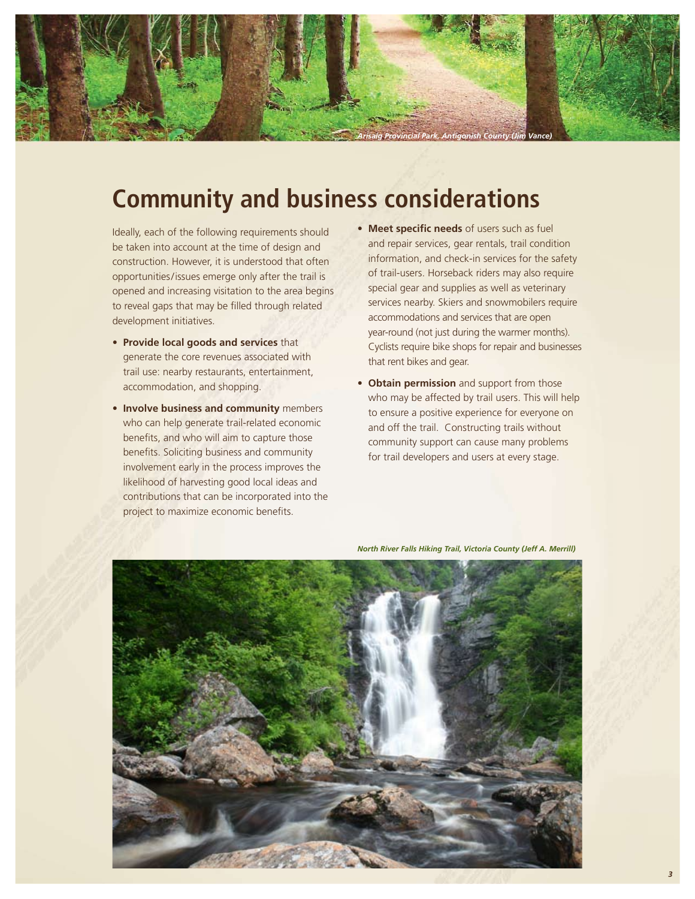

## **Community and business considerations**

Ideally, each of the following requirements should be taken into account at the time of design and construction. However, it is understood that often opportunities/issues emerge only after the trail is opened and increasing visitation to the area begins to reveal gaps that may be filled through related development initiatives.

- **Provide local goods and services** that generate the core revenues associated with trail use: nearby restaurants, entertainment, accommodation, and shopping.
- **Involve business and community** members who can help generate trail-related economic benefits, and who will aim to capture those benefits. Soliciting business and community involvement early in the process improves the likelihood of harvesting good local ideas and contributions that can be incorporated into the project to maximize economic benefits.
- **Meet specific needs** of users such as fuel and repair services, gear rentals, trail condition information, and check-in services for the safety of trail-users. Horseback riders may also require special gear and supplies as well as veterinary services nearby. Skiers and snowmobilers require accommodations and services that are open year-round (not just during the warmer months). Cyclists require bike shops for repair and businesses that rent bikes and gear.
- **Obtain permission** and support from those who may be affected by trail users. This will help to ensure a positive experience for everyone on and off the trail. Constructing trails without community support can cause many problems for trail developers and users at every stage.



*North River Falls Hiking Trail, Victoria County (Jeff A. Merrill)*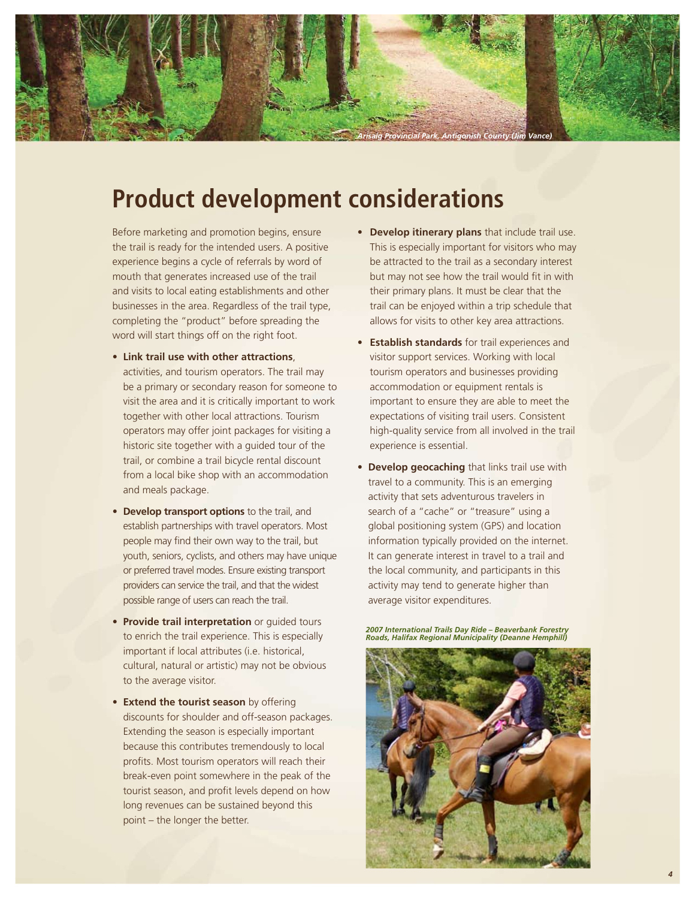

## **Product development considerations**

Before marketing and promotion begins, ensure the trail is ready for the intended users. A positive experience begins a cycle of referrals by word of mouth that generates increased use of the trail and visits to local eating establishments and other businesses in the area. Regardless of the trail type, completing the "product" before spreading the word will start things off on the right foot.

- **Link trail use with other attractions**, activities, and tourism operators. The trail may be a primary or secondary reason for someone to visit the area and it is critically important to work together with other local attractions. Tourism operators may offer joint packages for visiting a historic site together with a guided tour of the trail, or combine a trail bicycle rental discount from a local bike shop with an accommodation and meals package.
- **Develop transport options** to the trail, and establish partnerships with travel operators. Most people may find their own way to the trail, but youth, seniors, cyclists, and others may have unique or preferred travel modes. Ensure existing transport providers can service the trail, and that the widest possible range of users can reach the trail.
- **Provide trail interpretation** or guided tours to enrich the trail experience. This is especially important if local attributes (i.e. historical, cultural, natural or artistic) may not be obvious to the average visitor.
- **Extend the tourist season** by offering discounts for shoulder and off-season packages. Extending the season is especially important because this contributes tremendously to local profits. Most tourism operators will reach their break-even point somewhere in the peak of the tourist season, and profit levels depend on how long revenues can be sustained beyond this point – the longer the better.
- **Develop itinerary plans** that include trail use. This is especially important for visitors who may be attracted to the trail as a secondary interest but may not see how the trail would fit in with their primary plans. It must be clear that the trail can be enjoyed within a trip schedule that allows for visits to other key area attractions.
- **Establish standards** for trail experiences and visitor support services. Working with local tourism operators and businesses providing accommodation or equipment rentals is important to ensure they are able to meet the expectations of visiting trail users. Consistent high-quality service from all involved in the trail experience is essential.
- **Develop geocaching** that links trail use with travel to a community. This is an emerging activity that sets adventurous travelers in search of a "cache" or "treasure" using a global positioning system (GPS) and location information typically provided on the internet. It can generate interest in travel to a trail and the local community, and participants in this activity may tend to generate higher than average visitor expenditures.

*2007 International Trails Day Ride – Beaverbank Forestry Roads, Halifax Regional Municipality (Deanne Hemphill)*

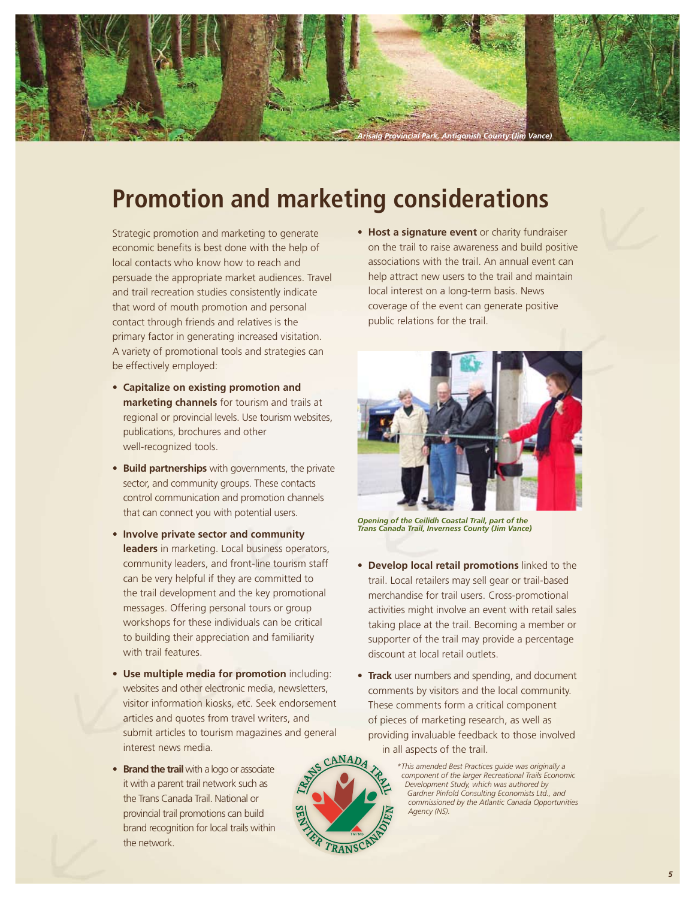

## **Promotion and marketing considerations**

Strategic promotion and marketing to generate economic benefits is best done with the help of local contacts who know how to reach and persuade the appropriate market audiences. Travel and trail recreation studies consistently indicate that word of mouth promotion and personal contact through friends and relatives is the primary factor in generating increased visitation. A variety of promotional tools and strategies can be effectively employed:

- **Capitalize on existing promotion and marketing channels** for tourism and trails at regional or provincial levels. Use tourism websites, publications, brochures and other well-recognized tools.
- **Build partnerships** with governments, the private sector, and community groups. These contacts control communication and promotion channels that can connect you with potential users.
- **Involve private sector and community leaders** in marketing. Local business operators, community leaders, and front-line tourism staff can be very helpful if they are committed to the trail development and the key promotional messages. Offering personal tours or group workshops for these individuals can be critical to building their appreciation and familiarity with trail features.
- **Use multiple media for promotion** including: websites and other electronic media, newsletters, visitor information kiosks, etc. Seek endorsement articles and quotes from travel writers, and submit articles to tourism magazines and general interest news media.
- **Brand the trail** with a logo or associate it with a parent trail network such as the Trans Canada Trail. National or provincial trail promotions can build brand recognition for local trails within the network.

• **Host a signature event** or charity fundraiser on the trail to raise awareness and build positive associations with the trail. An annual event can help attract new users to the trail and maintain local interest on a long-term basis. News coverage of the event can generate positive public relations for the trail.



*Opening of the Ceilidh Coastal Trail, part of the Trans Canada Trail, Inverness County (Jim Vance)*

- **Develop local retail promotions** linked to the trail. Local retailers may sell gear or trail-based merchandise for trail users. Cross-promotional activities might involve an event with retail sales taking place at the trail. Becoming a member or supporter of the trail may provide a percentage discount at local retail outlets.
- **Track** user numbers and spending, and document comments by visitors and the local community. These comments form a critical component of pieces of marketing research, as well as providing invaluable feedback to those involved in all aspects of the trail.



*\*This amended Best Practices guide was originally a component of the larger Recreational Trails Economic Development Study, which was authored by Gardner Pinfold Consulting Economists Ltd., and commissioned by the Atlantic Canada Opportunities Agency (NS).*